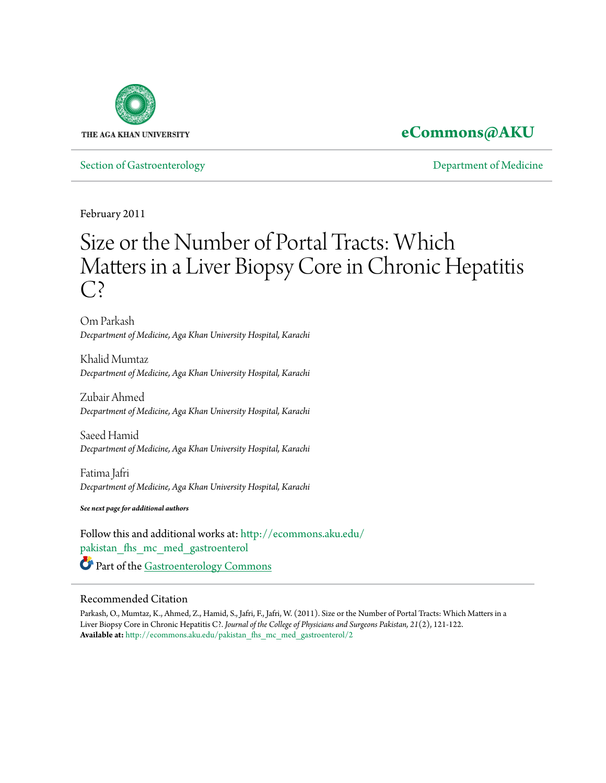

### **[eCommons@AKU](http://ecommons.aku.edu?utm_source=ecommons.aku.edu%2Fpakistan_fhs_mc_med_gastroenterol%2F2&utm_medium=PDF&utm_campaign=PDFCoverPages)**

[Section of Gastroenterology](http://ecommons.aku.edu/pakistan_fhs_mc_med_gastroenterol?utm_source=ecommons.aku.edu%2Fpakistan_fhs_mc_med_gastroenterol%2F2&utm_medium=PDF&utm_campaign=PDFCoverPages) [Department of Medicine](http://ecommons.aku.edu/pakistan_fhs_mc_med?utm_source=ecommons.aku.edu%2Fpakistan_fhs_mc_med_gastroenterol%2F2&utm_medium=PDF&utm_campaign=PDFCoverPages)

February 2011

# Size or the Number of Portal Tracts: Which Matters in a Liver Biopsy Core in Chronic Hepatitis  $C<sub>2</sub>$

Om Parkash *Decpartment of Medicine, Aga Khan University Hospital, Karachi*

Khalid Mumtaz *Decpartment of Medicine, Aga Khan University Hospital, Karachi*

Zubair Ahmed *Decpartment of Medicine, Aga Khan University Hospital, Karachi*

Saeed Hamid *Decpartment of Medicine, Aga Khan University Hospital, Karachi*

Fatima Jafri *Decpartment of Medicine, Aga Khan University Hospital, Karachi*

*See next page for additional authors*

Follow this and additional works at: [http://ecommons.aku.edu/](http://ecommons.aku.edu/pakistan_fhs_mc_med_gastroenterol?utm_source=ecommons.aku.edu%2Fpakistan_fhs_mc_med_gastroenterol%2F2&utm_medium=PDF&utm_campaign=PDFCoverPages) [pakistan\\_fhs\\_mc\\_med\\_gastroenterol](http://ecommons.aku.edu/pakistan_fhs_mc_med_gastroenterol?utm_source=ecommons.aku.edu%2Fpakistan_fhs_mc_med_gastroenterol%2F2&utm_medium=PDF&utm_campaign=PDFCoverPages) Part of the [Gastroenterology Commons](http://network.bepress.com/hgg/discipline/687?utm_source=ecommons.aku.edu%2Fpakistan_fhs_mc_med_gastroenterol%2F2&utm_medium=PDF&utm_campaign=PDFCoverPages)

#### Recommended Citation

Parkash, O., Mumtaz, K., Ahmed, Z., Hamid, S., Jafri, F., Jafri, W. (2011). Size or the Number of Portal Tracts: Which Matters in a Liver Biopsy Core in Chronic Hepatitis C?. *Journal of the College of Physicians and Surgeons Pakistan, 21*(2), 121-122. **Available at:** [http://ecommons.aku.edu/pakistan\\_fhs\\_mc\\_med\\_gastroenterol/2](http://ecommons.aku.edu/pakistan_fhs_mc_med_gastroenterol/2)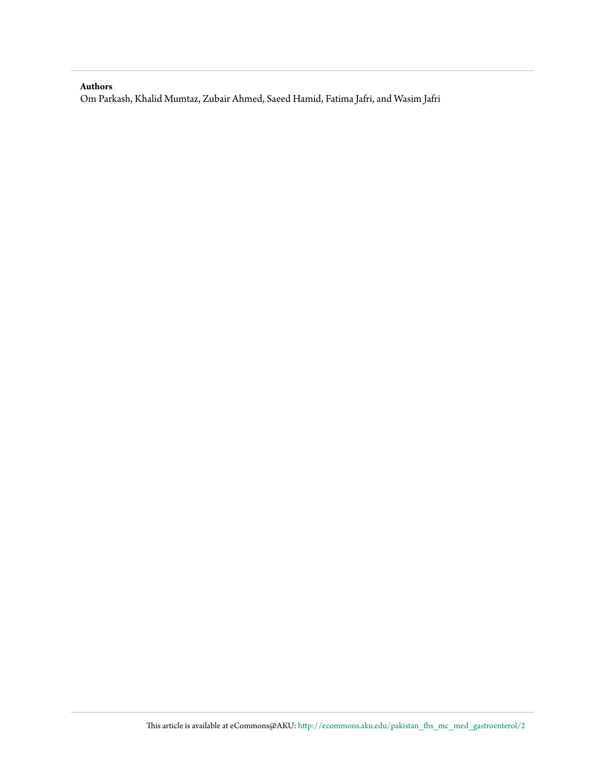#### **Authors**

Om Parkash, Khalid Mumtaz, Zubair Ahmed, Saeed Hamid, Fatima Jafri, and Wasim Jafri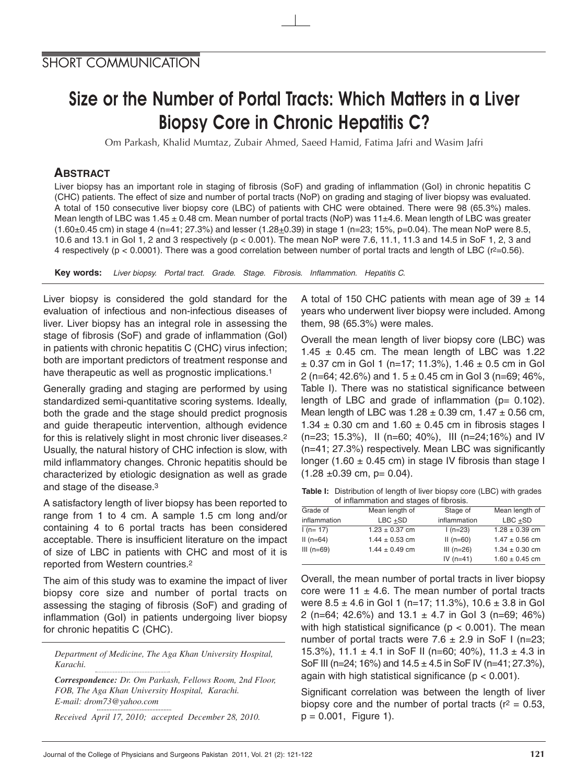## Size or the Number of Portal Tracts: Which Matters in a Liver Biopsy Core in Chronic Hepatitis C?

Om Parkash, Khalid Mumtaz, Zubair Ahmed, Saeed Hamid, Fatima Jafri and Wasim Jafri

#### **ABSTRACT**

Liver biopsy has an important role in staging of fibrosis (SoF) and grading of inflammation (GoI) in chronic hepatitis C (CHC) patients. The effect of size and number of portal tracts (NoP) on grading and staging of liver biopsy was evaluated. A total of 150 consecutive liver biopsy core (LBC) of patients with CHC were obtained. There were 98 (65.3%) males. Mean length of LBC was 1.45  $\pm$  0.48 cm. Mean number of portal tracts (NoP) was 11 $\pm$ 4.6. Mean length of LBC was greater  $(1.60\pm0.45 \text{ cm})$  in stage 4 (n=41; 27.3%) and lesser (1.28+0.39) in stage 1 (n=23; 15%, p=0.04). The mean NoP were 8.5, 10.6 and 13.1 in GoI 1, 2 and 3 respectively (p < 0.001). The mean NoP were 7.6, 11.1, 11.3 and 14.5 in SoF 1, 2, 3 and 4 respectively ( $p < 0.0001$ ). There was a good correlation between number of portal tracts and length of LBC ( $r^2=0.56$ ).

**Key words:** Liver biopsy. Portal tract. Grade. Stage. Fibrosis. Inflammation. Hepatitis C.

Liver biopsy is considered the gold standard for the evaluation of infectious and non-infectious diseases of liver. Liver biopsy has an integral role in assessing the stage of fibrosis (SoF) and grade of inflammation (GoI) in patients with chronic hepatitis C (CHC) virus infection; both are important predictors of treatment response and have therapeutic as well as prognostic implications.<sup>1</sup>

Generally grading and staging are performed by using standardized semi-quantitative scoring systems. Ideally, both the grade and the stage should predict prognosis and guide therapeutic intervention, although evidence for this is relatively slight in most chronic liver diseases.2 Usually, the natural history of CHC infection is slow, with mild inflammatory changes. Chronic hepatitis should be characterized by etiologic designation as well as grade and stage of the disease.3

A satisfactory length of liver biopsy has been reported to range from 1 to 4 cm. A sample 1.5 cm long and/or containing 4 to 6 portal tracts has been considered acceptable. There is insufficient literature on the impact of size of LBC in patients with CHC and most of it is reported from Western countries.2

The aim of this study was to examine the impact of liver biopsy core size and number of portal tracts on assessing the staging of fibrosis (SoF) and grading of inflammation (GoI) in patients undergoing liver biopsy for chronic hepatitis C (CHC).

*Department of Medicine, The Aga Khan University Hospital, Karachi.*

*Correspondence: Dr. Om Parkash, Fellows Room, 2nd Floor, FOB, The Aga Khan University Hospital, Karachi. E-mail: drom73@yahoo.com*

*Received April 17, 2010; accepted December 28, 2010.*

A total of 150 CHC patients with mean age of 39  $\pm$  14 years who underwent liver biopsy were included. Among them, 98 (65.3%) were males.

Overall the mean length of liver biopsy core (LBC) was  $1.45 \pm 0.45$  cm. The mean length of LBC was 1.22  $\pm$  0.37 cm in GoI 1 (n=17; 11.3%), 1.46  $\pm$  0.5 cm in GoI 2 (n=64; 42.6%) and 1.  $5 \pm 0.45$  cm in Gol 3 (n=69; 46%, Table I). There was no statistical significance between length of LBC and grade of inflammation ( $p= 0.102$ ). Mean length of LBC was  $1.28 \pm 0.39$  cm,  $1.47 \pm 0.56$  cm,  $1.34 \pm 0.30$  cm and  $1.60 \pm 0.45$  cm in fibrosis stages I (n=23; 15.3%), II (n=60; 40%), III (n=24;16%) and IV (n=41; 27.3%) respectively. Mean LBC was significantly longer (1.60  $\pm$  0.45 cm) in stage IV fibrosis than stage I  $(1.28 \pm 0.39 \text{ cm}, \text{p} = 0.04)$ .

| <b>Table I:</b> Distribution of length of liver biopsy core (LBC) with grades |
|-------------------------------------------------------------------------------|
| of inflammation and stages of fibrosis.                                       |

| or imammation and olagoo or illoroolo. |                    |              |                    |  |
|----------------------------------------|--------------------|--------------|--------------------|--|
| Grade of                               | Mean length of     | Stage of     | Mean length of     |  |
| inflammation                           | $LBC + SD$         | inflammation | $LBC + SD$         |  |
| $1(n=17)$                              | $1.23 \pm 0.37$ cm | $1(n=23)$    | $1.28 \pm 0.39$ cm |  |
| $II(n=64)$                             | $1.44 \pm 0.53$ cm | $II(n=60)$   | $1.47 \pm 0.56$ cm |  |
| $III(n=69)$                            | $1.44 \pm 0.49$ cm | $III(n=26)$  | $1.34 \pm 0.30$ cm |  |
|                                        |                    | $IV (n=41)$  | $1.60 \pm 0.45$ cm |  |

Overall, the mean number of portal tracts in liver biopsy core were 11  $\pm$  4.6. The mean number of portal tracts were  $8.5 \pm 4.6$  in GoI 1 (n=17; 11.3%), 10.6  $\pm$  3.8 in GoI 2 (n=64; 42.6%) and  $13.1 \pm 4.7$  in Gol 3 (n=69; 46%) with high statistical significance ( $p < 0.001$ ). The mean number of portal tracts were  $7.6 \pm 2.9$  in SoF I (n=23; 15.3%), 11.1  $\pm$  4.1 in SoF II (n=60; 40%), 11.3  $\pm$  4.3 in SoF III (n=24; 16%) and  $14.5 \pm 4.5$  in SoF IV (n=41; 27.3%), again with high statistical significance ( $p < 0.001$ ).

Significant correlation was between the length of liver biopsy core and the number of portal tracts ( $r^2 = 0.53$ ,  $p = 0.001$ , Figure 1).